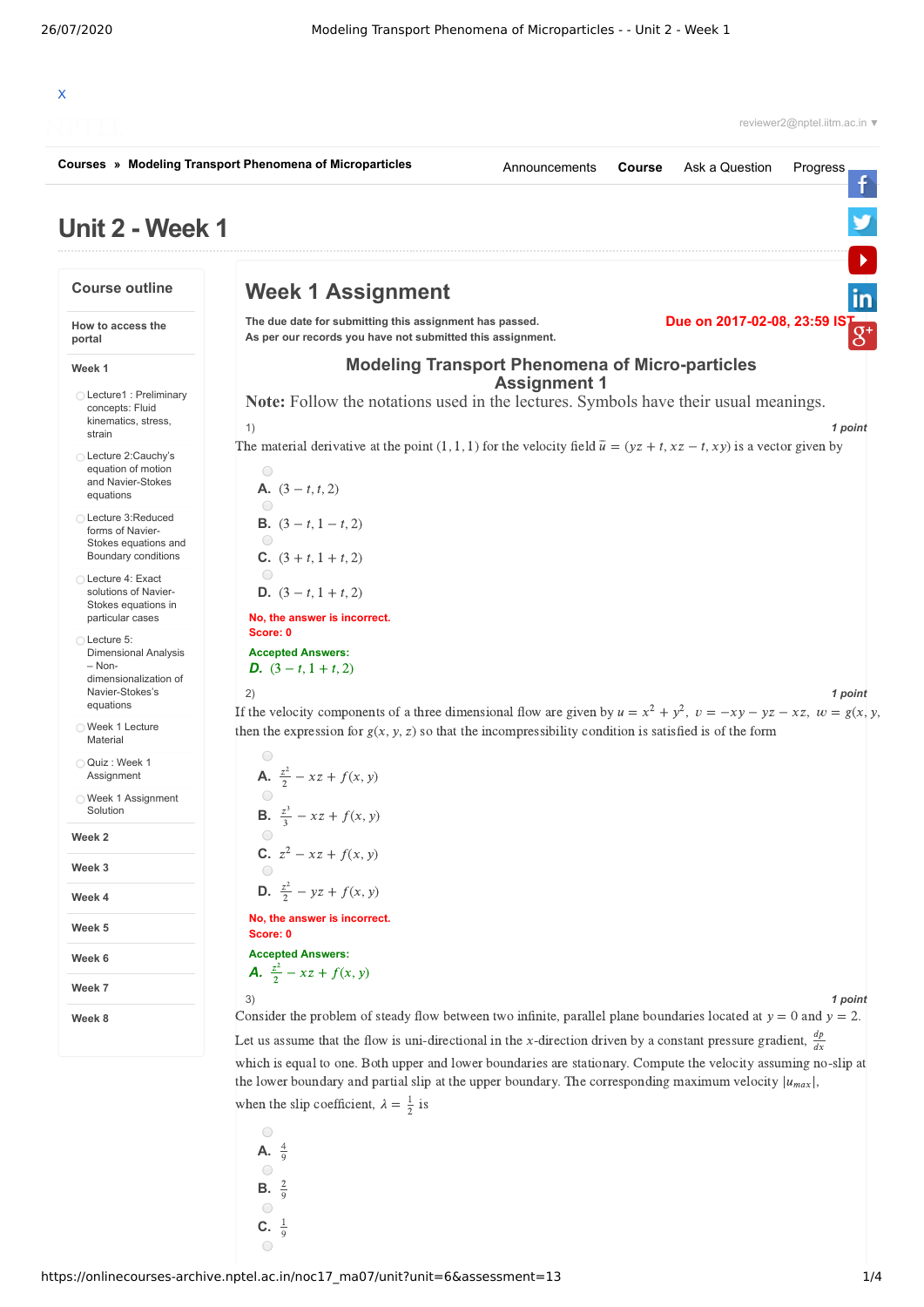

**C.**  $\frac{1}{9}$ 

 $\bigcirc$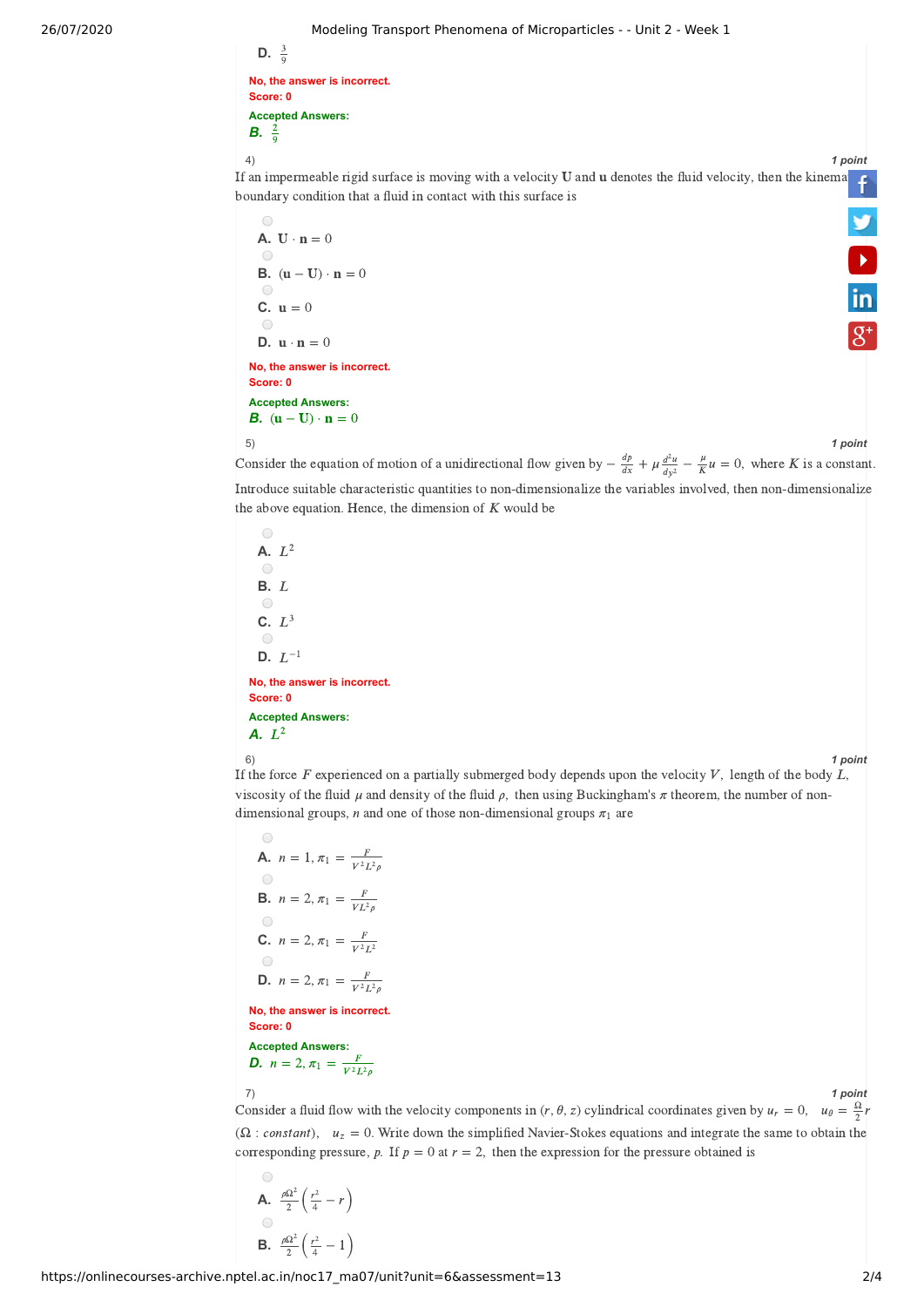## 26/07/2020 Modeling Transport Phenomena of Microparticles - - Unit 2 - Week 1

| $\mathsf{D.}$ $\overline{\mathsf{O}}$               |
|-----------------------------------------------------|
| No, the answer is incorrect.<br>Score: 0            |
| <b>Accepted Answers:</b><br><b>B.</b> $\frac{2}{0}$ |

 $\mathbf{D}$ 

3

4) *1 point* If an impermeable rigid surface is moving with a velocity  $U$  and  $u$  denotes the fluid velocity, then the kine[matic](https://www.facebook.com/NPTELNoc/) boundary condition that a fluid in contact with this surface is

\n- A. 
$$
U \cdot n = 0
$$
\n- B.  $(u - U) \cdot n = 0$
\n- C.  $u = 0$
\n- D.  $u \cdot n = 0$
\n
\nNo, the answer is incorrect.

\nScore: 0

\nAccepted Answers:

\nB.  $(u - U) \cdot n = 0$ 

\n5)

**D**<br>in

5)<br>Consider the equation of motion of a unidirectional flow given by  $-\frac{dp}{dx} + \mu \frac{d^2u}{dx^2} - \frac{\mu}{K}u = 0$ , where *K* is a constant.  $\frac{dp}{dx} + \mu \frac{d^2u}{dv^2}$  $\frac{\mu}{K}l$ Introduce suitable characteristic quantities to non-dimensionalize the variables involved, then non-dimensionalize the above equation. Hence, the dimension of  $K$  would be

 $\bigcirc$ **A.**  $L^2$  $\bigcirc$ **B.**  $L$  $\bigcirc$ C.  $L^3$  $\circ$  $\overline{\mathsf{D}}$ .  $L^{-1}$ **No, the answer is incorrect. Score: 0 Accepted Answers:** *A.*  $L^2$ 



6) *1 point* If the force F experienced on a partially submerged body depends upon the velocity V, length of the body  $L$ , viscosity of the fluid  $\mu$  and density of the fluid  $\rho$ , then using Buckingham's  $\pi$  theorem, the number of nondimensional groups, *n* and one of those non-dimensional groups  $\pi_1$  are

\n- **A.** 
$$
n = 1, \pi_1 = \frac{F}{V^2 L^2 \rho}
$$
\n- **B.**  $n = 2, \pi_1 = \frac{F}{VL^2 \rho}$
\n- **C.**  $n = 2, \pi_1 = \frac{F}{V^2 L^2}$
\n- **D.**  $n = 2, \pi_1 = \frac{F}{V^2 L^2 \rho}$
\n- **No, the answer is incorrect.**
\n- **Score: 0**
\n- **Accepted Answers:**
\n- **D.**  $n = 2, \pi_1 = \frac{F}{V^2 L^2 \rho}$
\n

7) *1 point*

Consider a fluid flow with the velocity components in  $(r, \theta, z)$  cylindrical coordinates given by  $u_r = 0$ ,  $u_{\theta} = \frac{\Omega}{2}r$  $(\Omega : constant)$ ,  $u_z = 0$ . Write down the simplified Navier-Stokes equations and integrate the same to obtain the corresponding pressure, p. If  $p = 0$  at  $r = 2$ , then the expression for the pressure obtained is

$$
\begin{array}{c}\n\text{A.} & \frac{\rho \Omega^2}{2} \left( \frac{r^2}{4} - r \right) \\
\text{B.} & \frac{\rho \Omega^2}{2} \left( \frac{r^2}{4} - 1 \right)\n\end{array}
$$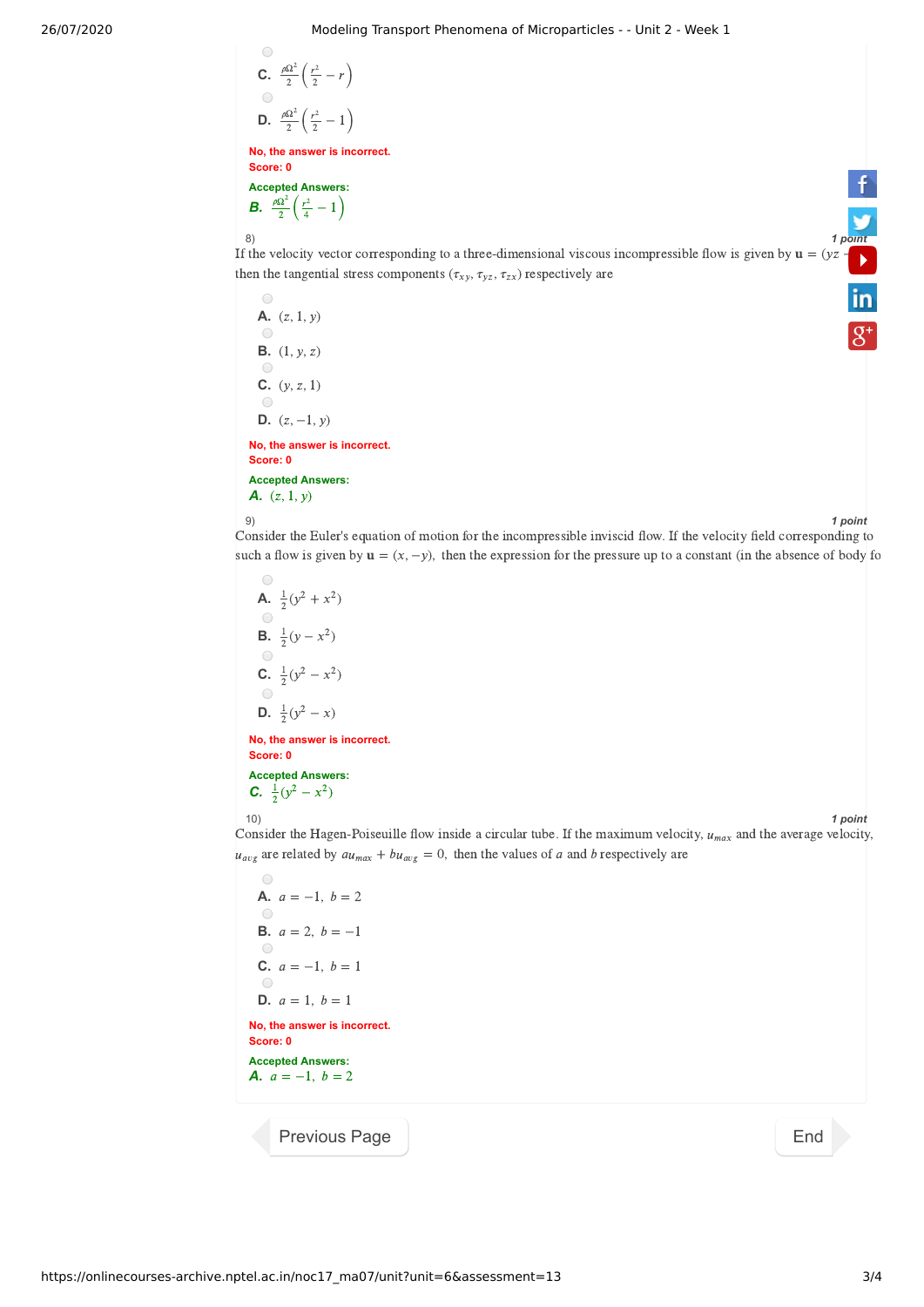\n- **C.** 
$$
\frac{\rho \Omega^2}{2} \left( \frac{r^2}{2} - r \right)
$$
\n- **D.**  $\frac{\rho \Omega^2}{2} \left( \frac{r^2}{2} - 1 \right)$
\n- **No, the answer is incorrect.**
\n

 $\bigcap$ 

**Accepted Answers:** Accepted Answers:<br> *B.*  $\frac{\rho \Omega^2}{2} \left( \frac{r^2}{4} - 1 \right)$  $\rho\Omega^2$ 2  $r^2$ 4

 $\begin{array}{c} \text{2} \rightarrow \text{3} \rightarrow \text{1} \text{ point} \\ \text{8} \rightarrow \text{1} \text{ point} \end{array}$ <br>If the velocity vector corresponding to a three-dimensional viscous incompressible flow is given by  $\mathbf{u} = (yz - z + z)$ then the tangential stress components ( $\tau_{xy}, \tau_{yz}, \tau_{zx}$ ) respectively are  $\overline{\mathsf{in}}$ 

8) *1 [point](https://twitter.com/nptelindia)*

\n- $$
A. (z, 1, y)
$$
\n- $B. (1, y, z)$
\n- $C. (y, z, 1)$
\n- $D. (z, -1, y)$
\n- $A. (z, 1, y)$
\n

$$
9) \t\t\t\t\t\t1 point
$$

Consider the Euler's equation of motion for the incompressible inviscid flow. If the velocity field corresponding to such a flow is given by  $\mathbf{u} = (x, -y)$ , then the expression for the pressure up to a constant (in the absence of body for such a flow is given by  $\mathbf{u} = (x, -y)$ , then the expression for the pressure up to a constant (in

**A.** 
$$
\frac{1}{2}(y^2 + x^2)
$$
  
\n**B.**  $\frac{1}{2}(y - x^2)$   
\n**C.**  $\frac{1}{2}(y^2 - x^2)$   
\n**D.**  $\frac{1}{2}(y^2 - x)$   
\n**No, the answer is incorrect.**  
\n**Score: 0**  
\n**Accepted Answers:**  
\n**C.**  $\frac{1}{2}(y^2 - x^2)$ 



10) *1 point*

10)<br>Consider the Hagen-Poiseuille flow inside a circular tube. If the maximum velocity,  $u_{max}$  and the average velocity,  $u_{avg}$  are related by  $au_{max} + bu_{avg} = 0$ , then the values of *a* and *b* respectively are

\n- **A.** 
$$
a = -1
$$
,  $b = 2$
\n- **B.**  $a = 2$ ,  $b = -1$
\n- **C.**  $a = -1$ ,  $b = 1$
\n- **D.**  $a = 1$ ,  $b = 1$
\n- **No, the answer is incorrect.**
\n
\n**Score: 0**

\n**Accepted Answers:**

\n**A.**  $a = -1$ ,  $b = 2$ 

[Previous Page](https://onlinecourses-archive.nptel.ac.in/noc17_ma07/unit?unit=6&lesson=43) National According to the Contract of the [End](https://onlinecourses-archive.nptel.ac.in/noc17_ma07/course)